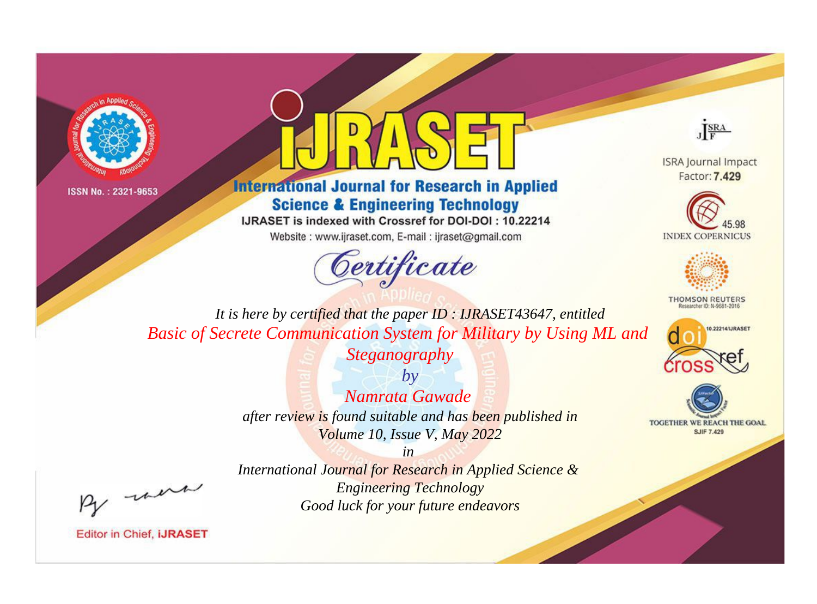



## **International Journal for Research in Applied Science & Engineering Technology**

IJRASET is indexed with Crossref for DOI-DOI: 10.22214

Website: www.ijraset.com, E-mail: ijraset@gmail.com



JERA

**ISRA Journal Impact** Factor: 7,429





**THOMSON REUTERS** 



TOGETHER WE REACH THE GOAL **SJIF 7.429** 

It is here by certified that the paper ID: IJRASET43647, entitled Basic of Secrete Communication System for Military by Using ML and Steganography

> $by$ Namrata Gawade after review is found suitable and has been published in Volume 10, Issue V, May 2022

were

International Journal for Research in Applied Science & **Engineering Technology** Good luck for your future endeavors

 $in$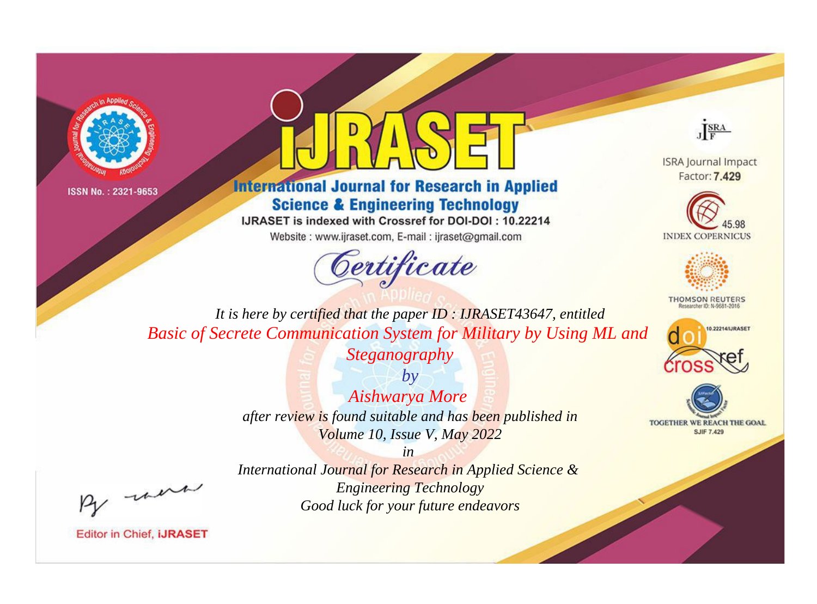



**International Journal for Research in Applied Science & Engineering Technology** 

IJRASET is indexed with Crossref for DOI-DOI: 10.22214

Website: www.ijraset.com, E-mail: ijraset@gmail.com



JERA

**ISRA Journal Impact** Factor: 7,429





**THOMSON REUTERS** 



TOGETHER WE REACH THE GOAL **SJIF 7.429** 

*It is here by certified that the paper ID : IJRASET43647, entitled Basic of Secrete Communication System for Military by Using ML and* 

> *Steganography by*

*Aishwarya More after review is found suitable and has been published in Volume 10, Issue V, May 2022*

*in* 

*International Journal for Research in Applied Science & Engineering Technology Good luck for your future endeavors*

, un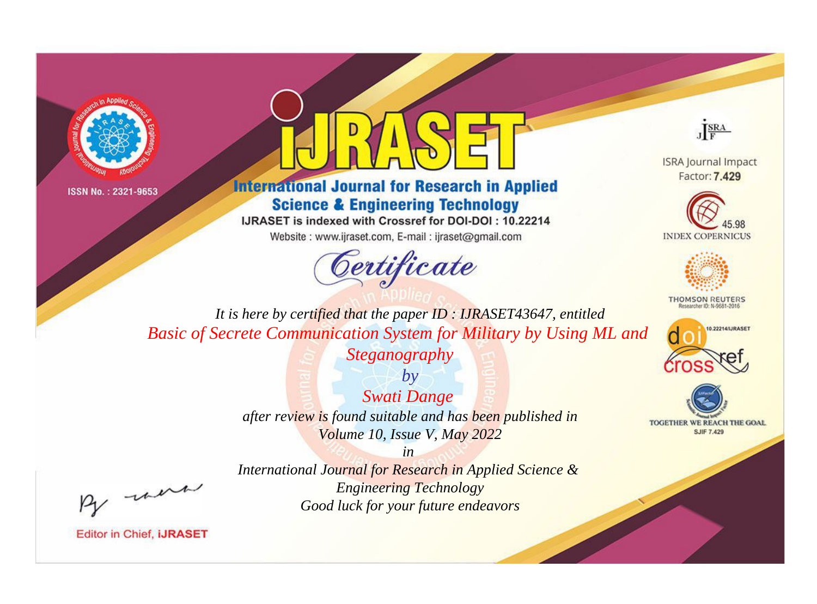



## **International Journal for Research in Applied Science & Engineering Technology**

IJRASET is indexed with Crossref for DOI-DOI: 10.22214

Website: www.ijraset.com, E-mail: ijraset@gmail.com



JERA

**ISRA Journal Impact** Factor: 7,429





**THOMSON REUTERS** 



TOGETHER WE REACH THE GOAL **SJIF 7.429** 

*It is here by certified that the paper ID : IJRASET43647, entitled Basic of Secrete Communication System for Military by Using ML and* 

*Steganography*

*by Swati Dange after review is found suitable and has been published in Volume 10, Issue V, May 2022*

, un

*International Journal for Research in Applied Science & Engineering Technology Good luck for your future endeavors*

*in*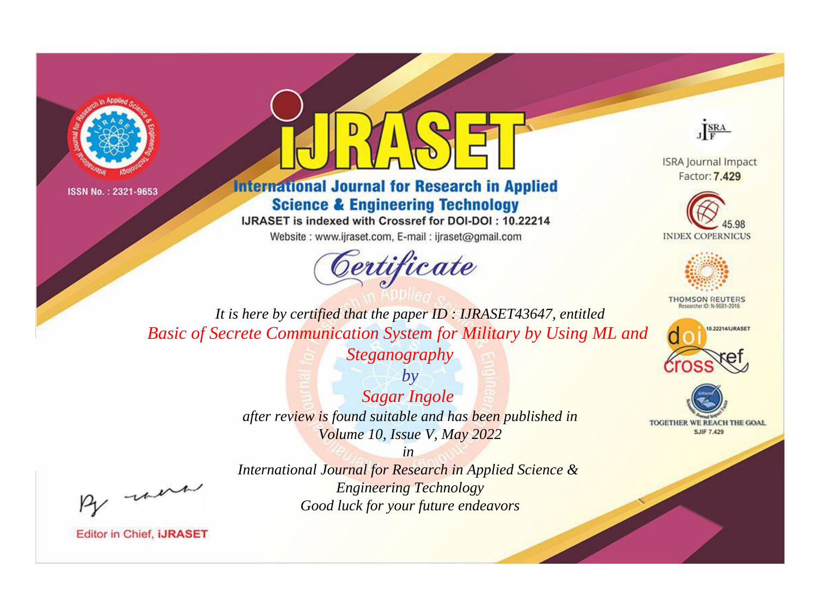



## **International Journal for Research in Applied Science & Engineering Technology**

IJRASET is indexed with Crossref for DOI-DOI: 10.22214

Website: www.ijraset.com, E-mail: ijraset@gmail.com



JERA

**ISRA Journal Impact** Factor: 7,429





**THOMSON REUTERS** 



TOGETHER WE REACH THE GOAL **SJIF 7.429** 

*It is here by certified that the paper ID : IJRASET43647, entitled Basic of Secrete Communication System for Military by Using ML and* 

> *Steganography by*

*Sagar Ingole after review is found suitable and has been published in Volume 10, Issue V, May 2022*

*in* 

, un

*International Journal for Research in Applied Science & Engineering Technology Good luck for your future endeavors*